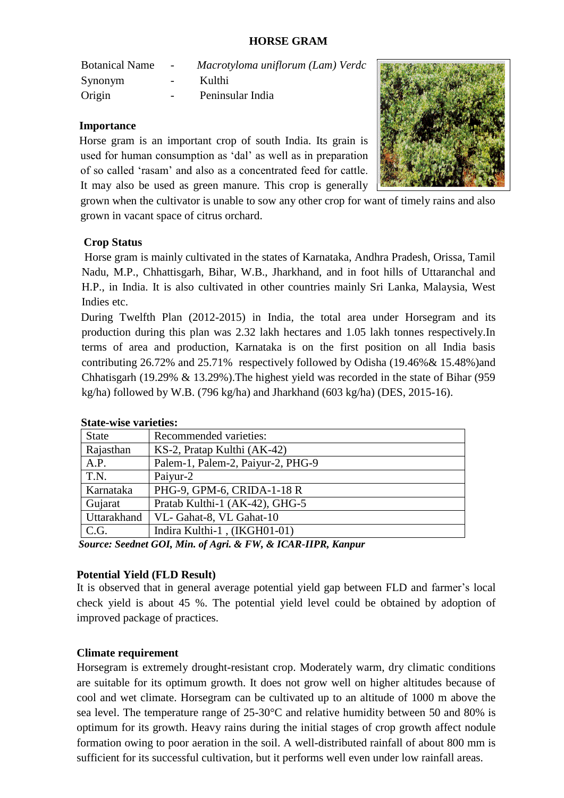#### **HORSE GRAM**

| <b>Botanical Name</b> | $\sim$           | Macrotyloma uniflorum (Lam) Verdc |
|-----------------------|------------------|-----------------------------------|
| Synonym               | $\sim$ 100 $\mu$ | Kulthi                            |
| Origin                | $\sim$           | Peninsular India                  |

#### **Importance**

Horse gram is an important crop of south India. Its grain is used for human consumption as 'dal' as well as in preparation of so called 'rasam' and also as a concentrated feed for cattle. It may also be used as green manure. This crop is generally



grown when the cultivator is unable to sow any other crop for want of timely rains and also grown in vacant space of citrus orchard.

## **Crop Status**

 Horse gram is mainly cultivated in the states of Karnataka, Andhra Pradesh, Orissa, Tamil Nadu, M.P., Chhattisgarh, Bihar, W.B., Jharkhand, and in foot hills of Uttaranchal and H.P., in India. It is also cultivated in other countries mainly Sri Lanka, Malaysia, West Indies etc.

 During Twelfth Plan (2012-2015) in India, the total area under Horsegram and its production during this plan was 2.32 lakh hectares and 1.05 lakh tonnes respectively.In terms of area and production, Karnataka is on the first position on all India basis contributing 26.72% and 25.71% respectively followed by Odisha (19.46%& 15.48%)and Chhatisgarh (19.29% & 13.29%).The highest yield was recorded in the state of Bihar (959 kg/ha) followed by W.B. (796 kg/ha) and Jharkhand (603 kg/ha) (DES, 2015-16).

| <b>State</b> | Recommended varieties:            |
|--------------|-----------------------------------|
| Rajasthan    | KS-2, Pratap Kulthi (AK-42)       |
| A.P.         | Palem-1, Palem-2, Paiyur-2, PHG-9 |
| T.N.         | Paiyur-2                          |
| Karnataka    | PHG-9, GPM-6, CRIDA-1-18 R        |
| Gujarat      | Pratab Kulthi-1 (AK-42), GHG-5    |
| Uttarakhand  | VL-Gahat-8, VL Gahat-10           |
| C.G.         | Indira Kulthi-1, (IKGH01-01)      |
|              |                                   |

#### **State-wise varieties:**

 *Source: Seednet GOI, Min. of Agri. & FW, & ICAR-IIPR, Kanpur*

#### **Potential Yield (FLD Result)**

It is observed that in general average potential yield gap between FLD and farmer's local check yield is about 45 %. The potential yield level could be obtained by adoption of improved package of practices.

#### **Climate requirement**

Horsegram is extremely drought-resistant crop. Moderately warm, dry climatic conditions are suitable for its optimum growth. It does not grow well on higher altitudes because of cool and wet climate. Horsegram can be cultivated up to an altitude of 1000 m above the sea level. The temperature range of 25-30°C and relative humidity between 50 and 80% is optimum for its growth. Heavy rains during the initial stages of crop growth affect nodule formation owing to poor aeration in the soil. A well-distributed rainfall of about 800 mm is sufficient for its successful cultivation, but it performs well even under low rainfall areas.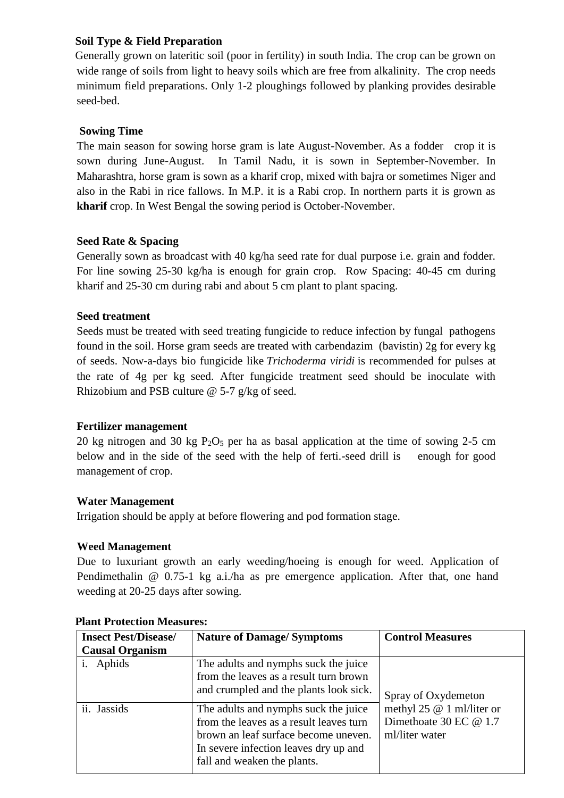## **Soil Type & Field Preparation**

Generally grown on lateritic soil (poor in fertility) in south India. The crop can be grown on wide range of soils from light to heavy soils which are free from alkalinity. The crop needs minimum field preparations. Only 1-2 ploughings followed by planking provides desirable seed-bed.

# **Sowing Time**

The main season for sowing horse gram is late August-November. As a fodder crop it is sown during June-August. In Tamil Nadu, it is sown in September-November. In Maharashtra, horse gram is sown as a kharif crop, mixed with bajra or sometimes Niger and also in the Rabi in rice fallows. In M.P. it is a Rabi crop. In northern parts it is grown as **kharif** crop. In West Bengal the sowing period is October-November.

## **Seed Rate & Spacing**

Generally sown as broadcast with 40 kg/ha seed rate for dual purpose i.e. grain and fodder. For line sowing 25-30 kg/ha is enough for grain crop. Row Spacing: 40-45 cm during kharif and 25-30 cm during rabi and about 5 cm plant to plant spacing.

## **Seed treatment**

Seeds must be treated with seed treating fungicide to reduce infection by fungal pathogens found in the soil. Horse gram seeds are treated with carbendazim (bavistin) 2g for every kg of seeds. Now-a-days bio fungicide like *Trichoderma viridi* is recommended for pulses at the rate of 4g per kg seed. After fungicide treatment seed should be inoculate with Rhizobium and PSB culture @ 5-7 g/kg of seed.

## **Fertilizer management**

20 kg nitrogen and 30 kg  $P_2O_5$  per ha as basal application at the time of sowing 2-5 cm below and in the side of the seed with the help of ferti.-seed drill is enough for good management of crop.

## **Water Management**

Irrigation should be apply at before flowering and pod formation stage.

## **Weed Management**

Due to luxuriant growth an early weeding/hoeing is enough for weed. Application of Pendimethalin @ 0.75-1 kg a.i./ha as pre emergence application. After that, one hand weeding at 20-25 days after sowing.

| <b>Insect Pest/Disease/</b> | <b>Nature of Damage/Symptoms</b>                                                                                                                                                                | <b>Control Measures</b>                                                 |
|-----------------------------|-------------------------------------------------------------------------------------------------------------------------------------------------------------------------------------------------|-------------------------------------------------------------------------|
| <b>Causal Organism</b>      |                                                                                                                                                                                                 |                                                                         |
| i. Aphids                   | The adults and nymphs suck the juice<br>from the leaves as a result turn brown<br>and crumpled and the plants look sick.                                                                        | Spray of Oxydemeton                                                     |
| ii. Jassids                 | The adults and nymphs suck the juice<br>from the leaves as a result leaves turn<br>brown an leaf surface become uneven.<br>In severe infection leaves dry up and<br>fall and weaken the plants. | methyl 25 $@$ 1 ml/liter or<br>Dimethoate 30 EC @ 1.7<br>ml/liter water |

## **Plant Protection Measures:**